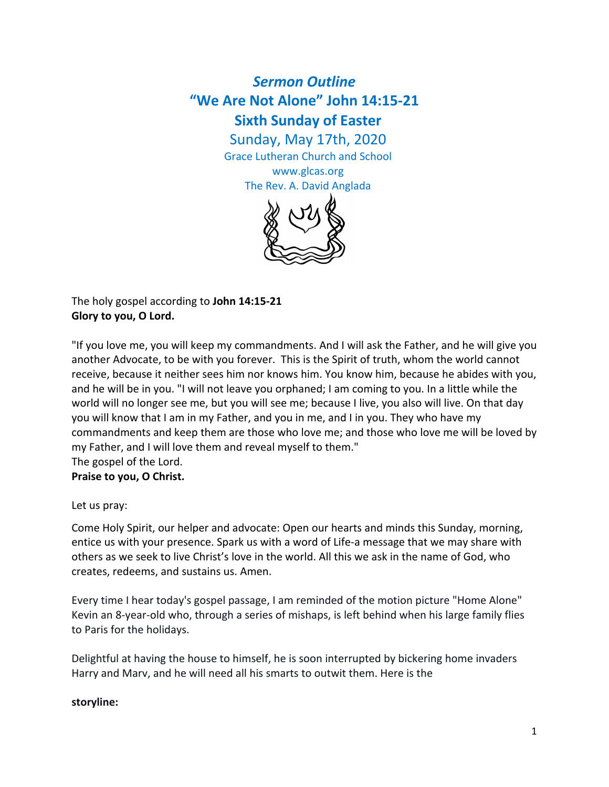# *Sermon Outline* **"We Are Not Alone" John 14:15-21 Sixth Sunday of Easter**

Sunday, May 17th, 2020 Grace Lutheran Church and School

> www.glcas.org The Rev. A. David Anglada



The holy gospel according to **John 14:15-21 Glory to you, O Lord.**

"If you love me, you will keep my commandments. And I will ask the Father, and he will give you another Advocate, to be with you forever. This is the Spirit of truth, whom the world cannot receive, because it neither sees him nor knows him. You know him, because he abides with you, and he will be in you. "I will not leave you orphaned; I am coming to you. In a little while the world will no longer see me, but you will see me; because I live, you also will live. On that day you will know that I am in my Father, and you in me, and I in you. They who have my commandments and keep them are those who love me; and those who love me will be loved by my Father, and I will love them and reveal myself to them." The gospel of the Lord.

**Praise to you, O Christ.**

Let us pray:

Come Holy Spirit, our helper and advocate: Open our hearts and minds this Sunday, morning, entice us with your presence. Spark us with a word of Life-a message that we may share with others as we seek to live Christ's love in the world. All this we ask in the name of God, who creates, redeems, and sustains us. Amen.

Every time I hear today's gospel passage, I am reminded of the motion picture "Home Alone" Kevin an 8-year-old who, through a series of mishaps, is left behind when his large family flies to Paris for the holidays.

Delightful at having the house to himself, he is soon interrupted by bickering home invaders Harry and Marv, and he will need all his smarts to outwit them. Here is the

## **storyline:**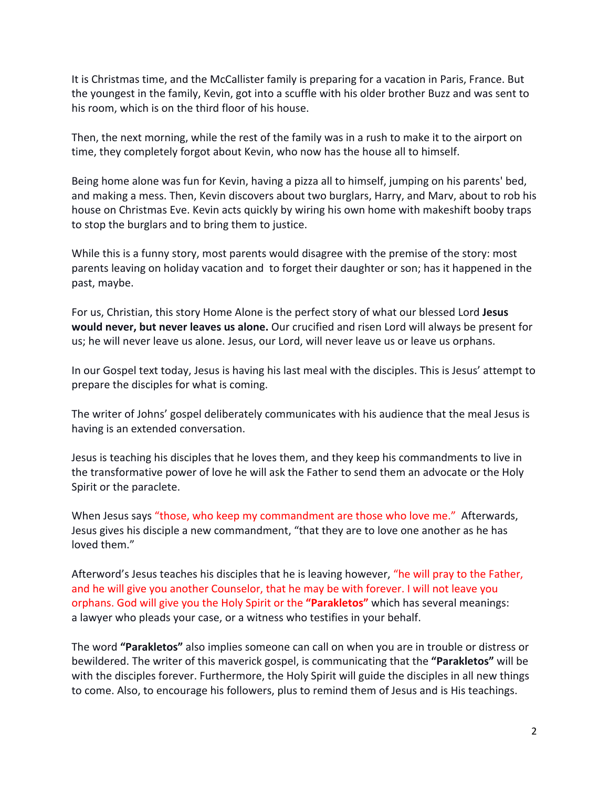It is Christmas time, and the McCallister family is preparing for a vacation in Paris, France. But the youngest in the family, Kevin, got into a scuffle with his older brother Buzz and was sent to his room, which is on the third floor of his house.

Then, the next morning, while the rest of the family was in a rush to make it to the airport on time, they completely forgot about Kevin, who now has the house all to himself.

Being home alone was fun for Kevin, having a pizza all to himself, jumping on his parents' bed, and making a mess. Then, Kevin discovers about two burglars, Harry, and Marv, about to rob his house on Christmas Eve. Kevin acts quickly by wiring his own home with makeshift booby traps to stop the burglars and to bring them to justice.

While this is a funny story, most parents would disagree with the premise of the story: most parents leaving on holiday vacation and to forget their daughter or son; has it happened in the past, maybe.

For us, Christian, this story Home Alone is the perfect story of what our blessed Lord **Jesus would never, but never leaves us alone.** Our crucified and risen Lord will always be present for us; he will never leave us alone. Jesus, our Lord, will never leave us or leave us orphans.

In our Gospel text today, Jesus is having his last meal with the disciples. This is Jesus' attempt to prepare the disciples for what is coming.

The writer of Johns' gospel deliberately communicates with his audience that the meal Jesus is having is an extended conversation.

Jesus is teaching his disciples that he loves them, and they keep his commandments to live in the transformative power of love he will ask the Father to send them an advocate or the Holy Spirit or the paraclete.

When Jesus says "those, who keep my commandment are those who love me." Afterwards, Jesus gives his disciple a new commandment, "that they are to love one another as he has loved them."

Afterword's Jesus teaches his disciples that he is leaving however, "he will pray to the Father, and he will give you another Counselor, that he may be with forever. I will not leave you orphans. God will give you the Holy Spirit or the **"Parakletos"** which has several meanings: a lawyer who pleads your case, or a witness who testifies in your behalf.

The word **"Parakletos"** also implies someone can call on when you are in trouble or distress or bewildered. The writer of this maverick gospel, is communicating that the **"Parakletos"** will be with the disciples forever. Furthermore, the Holy Spirit will guide the disciples in all new things to come. Also, to encourage his followers, plus to remind them of Jesus and is His teachings.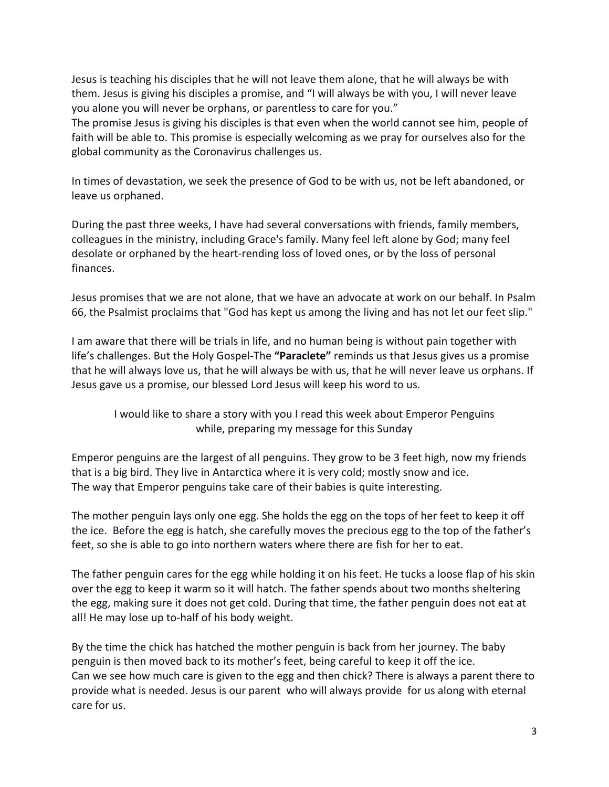Jesus is teaching his disciples that he will not leave them alone, that he will always be with them. Jesus is giving his disciples a promise, and "I will always be with you, I will never leave you alone you will never be orphans, or parentless to care for you."

The promise Jesus is giving his disciples is that even when the world cannot see him, people of faith will be able to. This promise is especially welcoming as we pray for ourselves also for the global community as the Coronavirus challenges us.

In times of devastation, we seek the presence of God to be with us, not be left abandoned, or leave us orphaned.

During the past three weeks, I have had several conversations with friends, family members, colleagues in the ministry, including Grace's family. Many feel left alone by God; many feel desolate or orphaned by the heart-rending loss of loved ones, or by the loss of personal finances.

Jesus promises that we are not alone, that we have an advocate at work on our behalf. In Psalm 66, the Psalmist proclaims that "God has kept us among the living and has not let our feet slip."

I am aware that there will be trials in life, and no human being is without pain together with life's challenges. But the Holy Gospel-The **"Paraclete"** reminds us that Jesus gives us a promise that he will always love us, that he will always be with us, that he will never leave us orphans. If Jesus gave us a promise, our blessed Lord Jesus will keep his word to us.

I would like to share a story with you I read this week about Emperor Penguins while, preparing my message for this Sunday

Emperor penguins are the largest of all penguins. They grow to be 3 feet high, now my friends that is a big bird. They live in Antarctica where it is very cold; mostly snow and ice. The way that Emperor penguins take care of their babies is quite interesting.

The mother penguin lays only one egg. She holds the egg on the tops of her feet to keep it off the ice. Before the egg is hatch, she carefully moves the precious egg to the top of the father's feet, so she is able to go into northern waters where there are fish for her to eat.

The father penguin cares for the egg while holding it on his feet. He tucks a loose flap of his skin over the egg to keep it warm so it will hatch. The father spends about two months sheltering the egg, making sure it does not get cold. During that time, the father penguin does not eat at all! He may lose up to-half of his body weight.

By the time the chick has hatched the mother penguin is back from her journey. The baby penguin is then moved back to its mother's feet, being careful to keep it off the ice. Can we see how much care is given to the egg and then chick? There is always a parent there to provide what is needed. Jesus is our parent who will always provide for us along with eternal care for us.